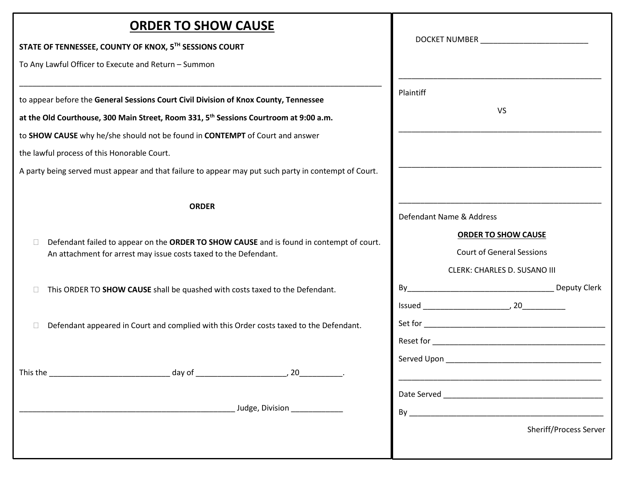| STATE OF TENNESSEE, COUNTY OF KNOX, 5TH SESSIONS COURT<br>To Any Lawful Officer to Execute and Return - Summon<br>Plaintiff<br>to appear before the General Sessions Court Civil Division of Knox County, Tennessee                                                                                                                      | DOCKET NUMBER _____________________________<br>VS                                                                                               |
|------------------------------------------------------------------------------------------------------------------------------------------------------------------------------------------------------------------------------------------------------------------------------------------------------------------------------------------|-------------------------------------------------------------------------------------------------------------------------------------------------|
|                                                                                                                                                                                                                                                                                                                                          |                                                                                                                                                 |
|                                                                                                                                                                                                                                                                                                                                          |                                                                                                                                                 |
| at the Old Courthouse, 300 Main Street, Room 331, 5 <sup>th</sup> Sessions Courtroom at 9:00 a.m.<br>to SHOW CAUSE why he/she should not be found in CONTEMPT of Court and answer<br>the lawful process of this Honorable Court.<br>A party being served must appear and that failure to appear may put such party in contempt of Court. |                                                                                                                                                 |
| <b>ORDER</b>                                                                                                                                                                                                                                                                                                                             | Defendant Name & Address                                                                                                                        |
| Defendant failed to appear on the ORDER TO SHOW CAUSE and is found in contempt of court.<br>An attachment for arrest may issue costs taxed to the Defendant.                                                                                                                                                                             | <b>ORDER TO SHOW CAUSE</b><br><b>Court of General Sessions</b><br><b>CLERK: CHARLES D. SUSANO III</b>                                           |
| This ORDER TO SHOW CAUSE shall be quashed with costs taxed to the Defendant.                                                                                                                                                                                                                                                             |                                                                                                                                                 |
| Defendant appeared in Court and complied with this Order costs taxed to the Defendant.                                                                                                                                                                                                                                                   |                                                                                                                                                 |
|                                                                                                                                                                                                                                                                                                                                          |                                                                                                                                                 |
| Judge, Division                                                                                                                                                                                                                                                                                                                          | Date Served and the server of the server of the server of the server of the server of the server of the server<br><b>Sheriff/Process Server</b> |